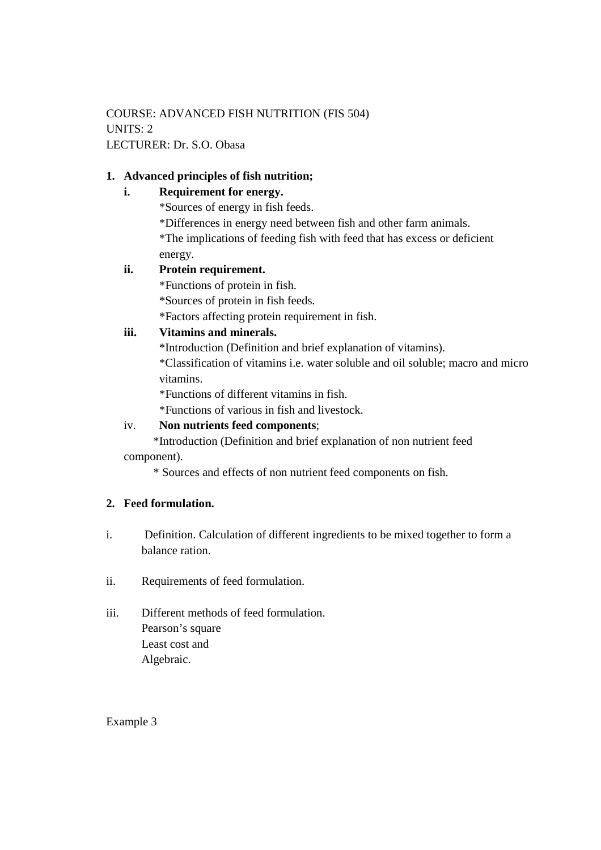COURSE: ADVANCED FISH NUTRITION (FIS 504) UNITS: 2 LECTURER: Dr. S.O. Obasa

### **1. Advanced principles of fish nutrition;**

### **i. Requirement for energy.**

\*Sources of energy in fish feeds.

\*Differences in energy need between fish and other farm animals. \*The implications of feeding fish with feed that has excess or deficient energy.

#### **ii. Protein requirement.**

\*Functions of protein in fish.

\*Sources of protein in fish feeds.

\*Factors affecting protein requirement in fish.

#### **iii. Vitamins and minerals.**

\*Introduction (Definition and brief explanation of vitamins).

\*Classification of vitamins i.e. water soluble and oil soluble; macro and micro vitamins.

\*Functions of different vitamins in fish.

\*Functions of various in fish and livestock.

# iv. **Non nutrients feed components**;

 \*Introduction (Definition and brief explanation of non nutrient feed component).

\* Sources and effects of non nutrient feed components on fish.

# **2. Feed formulation.**

- i. Definition. Calculation of different ingredients to be mixed together to form a balance ration.
- ii. Requirements of feed formulation.
- iii. Different methods of feed formulation. Pearson's square Least cost and Algebraic.

Example 3